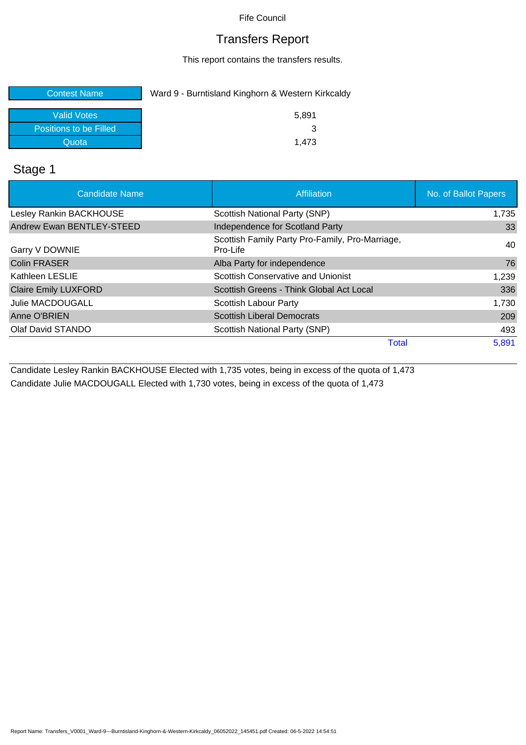### Transfers Report

This report contains the transfers results.

| <b>Contest Name</b>    | Ward 9 - Burntisland Kinghorn & Western Kirkcaldy |
|------------------------|---------------------------------------------------|
| Valid Votes            | 5.891                                             |
| Positions to be Filled |                                                   |
| Quota                  | 1.473                                             |

### Stage 1

| <b>Candidate Name</b>       | Affiliation                                                 | No. of Ballot Papers |
|-----------------------------|-------------------------------------------------------------|----------------------|
| Lesley Rankin BACKHOUSE     | Scottish National Party (SNP)                               | 1,735                |
| Andrew Ewan BENTLEY-STEED   | Independence for Scotland Party                             | 33                   |
| Garry V DOWNIE              | Scottish Family Party Pro-Family, Pro-Marriage,<br>Pro-Life | 40                   |
| <b>Colin FRASER</b>         | Alba Party for independence                                 | 76                   |
| Kathleen LESLIE             | Scottish Conservative and Unionist                          | 1,239                |
| <b>Claire Emily LUXFORD</b> | Scottish Greens - Think Global Act Local                    | 336                  |
| <b>Julie MACDOUGALL</b>     | Scottish Labour Party                                       | 1,730                |
| Anne O'BRIEN                | <b>Scottish Liberal Democrats</b>                           | 209                  |
| Olaf David STANDO           | Scottish National Party (SNP)                               | 493                  |
|                             | Total                                                       | 5,891                |

Candidate Lesley Rankin BACKHOUSE Elected with 1,735 votes, being in excess of the quota of 1,473 Candidate Julie MACDOUGALL Elected with 1,730 votes, being in excess of the quota of 1,473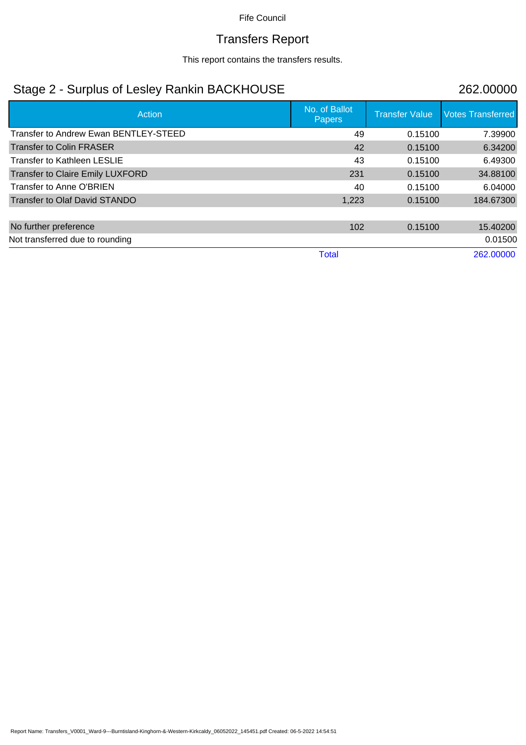## Transfers Report

This report contains the transfers results.

## Stage 2 - Surplus of Lesley Rankin BACKHOUSE 262.00000

| Action                                  | No. of Ballot<br>Papers | <b>Transfer Value</b> | <b>Votes Transferred</b> |
|-----------------------------------------|-------------------------|-----------------------|--------------------------|
| Transfer to Andrew Ewan BENTLEY-STEED   | 49                      | 0.15100               | 7.39900                  |
| <b>Transfer to Colin FRASER</b>         | 42                      | 0.15100               | 6.34200                  |
| <b>Transfer to Kathleen LESLIE</b>      | 43                      | 0.15100               | 6.49300                  |
| <b>Transfer to Claire Emily LUXFORD</b> | 231                     | 0.15100               | 34.88100                 |
| Transfer to Anne O'BRIEN                | 40                      | 0.15100               | 6.04000                  |
| <b>Transfer to Olaf David STANDO</b>    | 1,223                   | 0.15100               | 184.67300                |
| No further preference                   | 102                     | 0.15100               | 15.40200                 |
| Not transferred due to rounding         |                         |                       | 0.01500                  |
|                                         | <b>Total</b>            |                       | 262,00000                |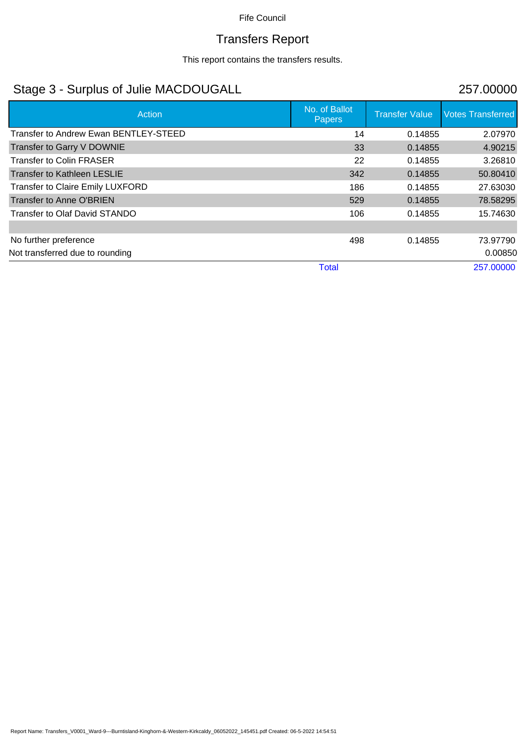# Transfers Report

This report contains the transfers results.

## Stage 3 - Surplus of Julie MACDOUGALL 257.00000

| Action                                  | No. of Ballot<br><b>Papers</b> | <b>Transfer Value</b> | <b>Votes Transferred</b> |
|-----------------------------------------|--------------------------------|-----------------------|--------------------------|
| Transfer to Andrew Ewan BENTLEY-STEED   | 14                             | 0.14855               | 2.07970                  |
| Transfer to Garry V DOWNIE              | 33                             | 0.14855               | 4.90215                  |
| <b>Transfer to Colin FRASER</b>         | 22                             | 0.14855               | 3.26810                  |
| <b>Transfer to Kathleen LESLIE</b>      | 342                            | 0.14855               | 50.80410                 |
| <b>Transfer to Claire Emily LUXFORD</b> | 186                            | 0.14855               | 27.63030                 |
| Transfer to Anne O'BRIEN                | 529                            | 0.14855               | 78.58295                 |
| Transfer to Olaf David STANDO           | 106                            | 0.14855               | 15.74630                 |
|                                         |                                |                       |                          |
| No further preference                   | 498                            | 0.14855               | 73.97790                 |
| Not transferred due to rounding         |                                |                       | 0.00850                  |
|                                         | <b>Total</b>                   |                       | 257.00000                |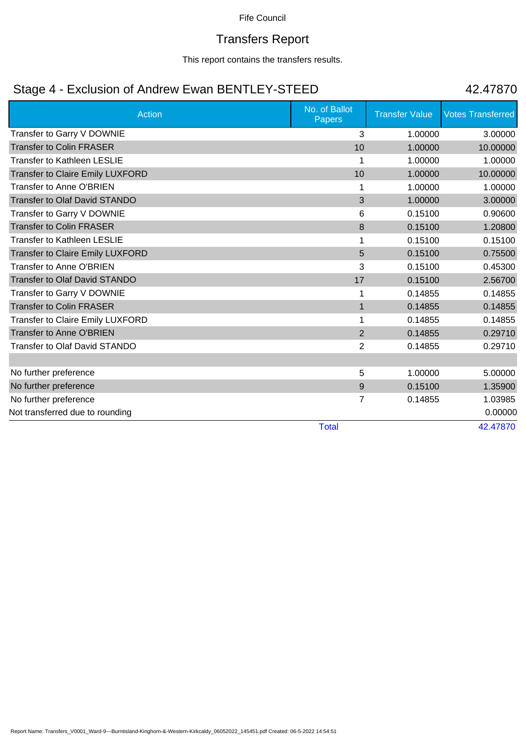### Transfers Report

This report contains the transfers results.

## Stage 4 - Exclusion of Andrew Ewan BENTLEY-STEED 42.47870

| <b>Action</b>                           | No. of Ballot<br>Papers | <b>Transfer Value</b> | <b>Votes Transferred</b> |
|-----------------------------------------|-------------------------|-----------------------|--------------------------|
| Transfer to Garry V DOWNIE              | 3                       | 1.00000               | 3.00000                  |
| <b>Transfer to Colin FRASER</b>         | 10                      | 1.00000               | 10.00000                 |
| <b>Transfer to Kathleen LESLIE</b>      | 1                       | 1.00000               | 1.00000                  |
| <b>Transfer to Claire Emily LUXFORD</b> | 10                      | 1.00000               | 10.00000                 |
| <b>Transfer to Anne O'BRIEN</b>         | 1                       | 1.00000               | 1.00000                  |
| <b>Transfer to Olaf David STANDO</b>    | 3                       | 1.00000               | 3.00000                  |
| Transfer to Garry V DOWNIE              | 6                       | 0.15100               | 0.90600                  |
| <b>Transfer to Colin FRASER</b>         | 8                       | 0.15100               | 1.20800                  |
| <b>Transfer to Kathleen LESLIE</b>      | 1                       | 0.15100               | 0.15100                  |
| <b>Transfer to Claire Emily LUXFORD</b> | 5                       | 0.15100               | 0.75500                  |
| <b>Transfer to Anne O'BRIEN</b>         | 3                       | 0.15100               | 0.45300                  |
| <b>Transfer to Olaf David STANDO</b>    | 17                      | 0.15100               | 2.56700                  |
| Transfer to Garry V DOWNIE              | 1                       | 0.14855               | 0.14855                  |
| <b>Transfer to Colin FRASER</b>         | $\mathbf{1}$            | 0.14855               | 0.14855                  |
| <b>Transfer to Claire Emily LUXFORD</b> | 1                       | 0.14855               | 0.14855                  |
| <b>Transfer to Anne O'BRIEN</b>         | $\overline{2}$          | 0.14855               | 0.29710                  |
| Transfer to Olaf David STANDO           | 2                       | 0.14855               | 0.29710                  |
|                                         |                         |                       |                          |
| No further preference                   | 5                       | 1.00000               | 5.00000                  |
| No further preference                   | 9                       | 0.15100               | 1.35900                  |
| No further preference                   | 7                       | 0.14855               | 1.03985                  |
| Not transferred due to rounding         |                         |                       | 0.00000                  |
|                                         | <b>Total</b>            |                       | 42.47870                 |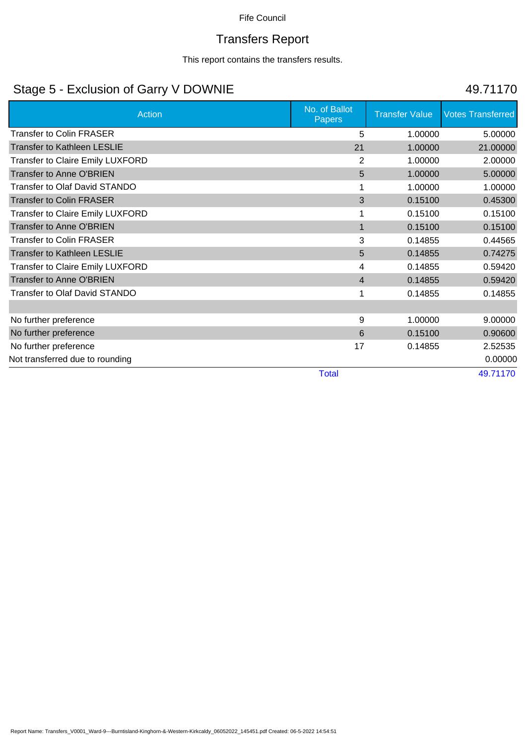# Transfers Report

This report contains the transfers results.

## Stage 5 - Exclusion of Garry V DOWNIE 49.71170

| <b>Action</b>                           | No. of Ballot<br>Papers | <b>Transfer Value</b> | <b>Votes Transferred</b> |
|-----------------------------------------|-------------------------|-----------------------|--------------------------|
| <b>Transfer to Colin FRASER</b>         | 5                       | 1.00000               | 5.00000                  |
| <b>Transfer to Kathleen LESLIE</b>      | 21                      | 1.00000               | 21.00000                 |
| <b>Transfer to Claire Emily LUXFORD</b> | 2                       | 1.00000               | 2.00000                  |
| <b>Transfer to Anne O'BRIEN</b>         | 5                       | 1.00000               | 5.00000                  |
| <b>Transfer to Olaf David STANDO</b>    |                         | 1.00000               | 1.00000                  |
| <b>Transfer to Colin FRASER</b>         | 3                       | 0.15100               | 0.45300                  |
| <b>Transfer to Claire Emily LUXFORD</b> |                         | 0.15100               | 0.15100                  |
| <b>Transfer to Anne O'BRIEN</b>         | 1                       | 0.15100               | 0.15100                  |
| <b>Transfer to Colin FRASER</b>         | 3                       | 0.14855               | 0.44565                  |
| <b>Transfer to Kathleen LESLIE</b>      | 5                       | 0.14855               | 0.74275                  |
| <b>Transfer to Claire Emily LUXFORD</b> | 4                       | 0.14855               | 0.59420                  |
| Transfer to Anne O'BRIEN                | $\overline{4}$          | 0.14855               | 0.59420                  |
| <b>Transfer to Olaf David STANDO</b>    | 1                       | 0.14855               | 0.14855                  |
|                                         |                         |                       |                          |
| No further preference                   | 9                       | 1.00000               | 9.00000                  |
| No further preference                   | 6                       | 0.15100               | 0.90600                  |
| No further preference                   | 17                      | 0.14855               | 2.52535                  |
| Not transferred due to rounding         |                         |                       | 0.00000                  |
|                                         | <b>Total</b>            |                       | 49.71170                 |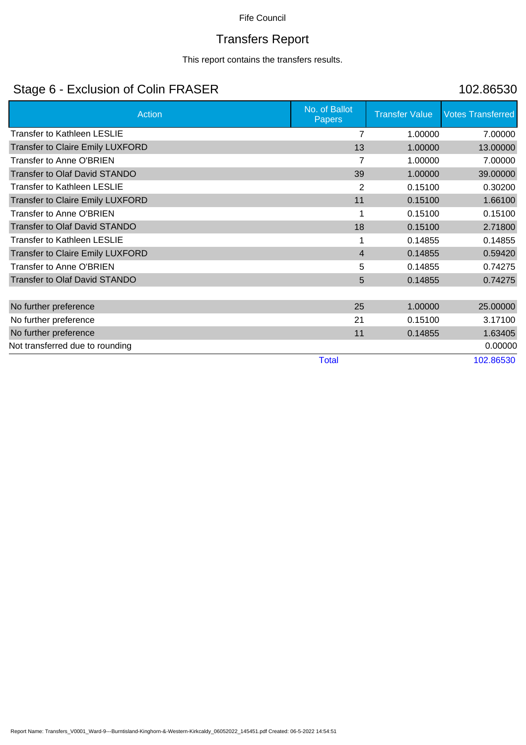# Transfers Report

This report contains the transfers results.

## Stage 6 - Exclusion of Colin FRASER 102.86530

| No. of Ballot<br><b>Papers</b> | <b>Transfer Value</b> | <b>Votes Transferred</b>      |
|--------------------------------|-----------------------|-------------------------------|
| 7                              | 1.00000               | 7.00000                       |
| 13                             | 1.00000               | 13.00000                      |
| 7                              | 1.00000               | 7.00000                       |
| 39                             |                       | 39.00000                      |
| 2                              |                       | 0.30200                       |
| 11                             | 0.15100               | 1.66100                       |
|                                | 0.15100               | 0.15100                       |
| 18                             |                       | 2.71800                       |
|                                | 0.14855               | 0.14855                       |
| $\overline{4}$                 | 0.14855               | 0.59420                       |
| 5                              | 0.14855               | 0.74275                       |
| 5                              | 0.14855               | 0.74275                       |
|                                |                       |                               |
| 25                             | 1.00000               | 25.00000                      |
| 21                             | 0.15100               | 3.17100                       |
| 11                             | 0.14855               | 1.63405                       |
|                                |                       | 0.00000                       |
| <b>Total</b>                   |                       | 102.86530                     |
|                                |                       | 1.00000<br>0.15100<br>0.15100 |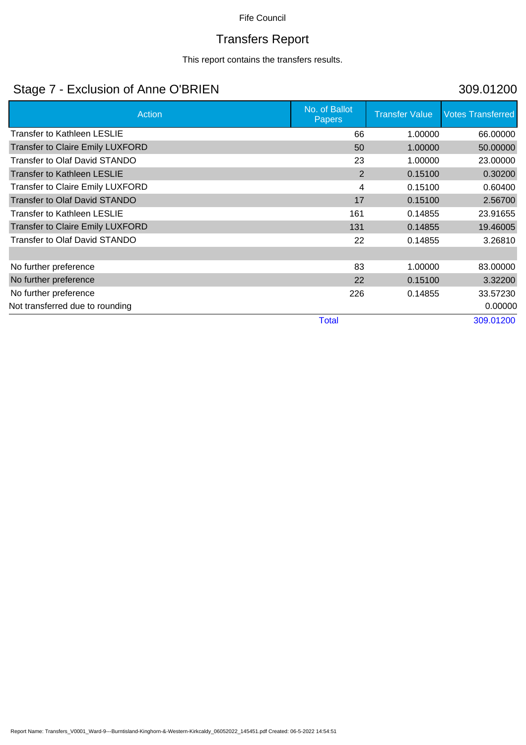# Transfers Report

This report contains the transfers results.

## Stage 7 - Exclusion of Anne O'BRIEN 309.01200

| Action                                  | No. of Ballot<br>Papers | <b>Transfer Value</b> | <b>Votes Transferred</b> |
|-----------------------------------------|-------------------------|-----------------------|--------------------------|
| Transfer to Kathleen LESLIE             | 66                      | 1.00000               | 66.00000                 |
| <b>Transfer to Claire Emily LUXFORD</b> | 50                      | 1.00000               | 50.00000                 |
| <b>Transfer to Olaf David STANDO</b>    | 23                      | 1.00000               | 23.00000                 |
| <b>Transfer to Kathleen LESLIE</b>      | 2                       | 0.15100               | 0.30200                  |
| <b>Transfer to Claire Emily LUXFORD</b> | 4                       | 0.15100               | 0.60400                  |
| <b>Transfer to Olaf David STANDO</b>    | 17                      | 0.15100               | 2.56700                  |
| Transfer to Kathleen LESLIE             | 161                     | 0.14855               | 23.91655                 |
| <b>Transfer to Claire Emily LUXFORD</b> | 131                     | 0.14855               | 19.46005                 |
| Transfer to Olaf David STANDO           | 22                      | 0.14855               | 3.26810                  |
|                                         |                         |                       |                          |
| No further preference                   | 83                      | 1.00000               | 83.00000                 |
| No further preference                   | 22                      | 0.15100               | 3.32200                  |
| No further preference                   | 226                     | 0.14855               | 33.57230                 |
| Not transferred due to rounding         |                         |                       | 0.00000                  |
|                                         | <b>Total</b>            |                       | 309.01200                |

### Report Name: Transfers\_V0001\_Ward-9---Burntisland-Kinghorn-&-Western-Kirkcaldy\_06052022\_145451.pdf Created: 06-5-2022 14:54:51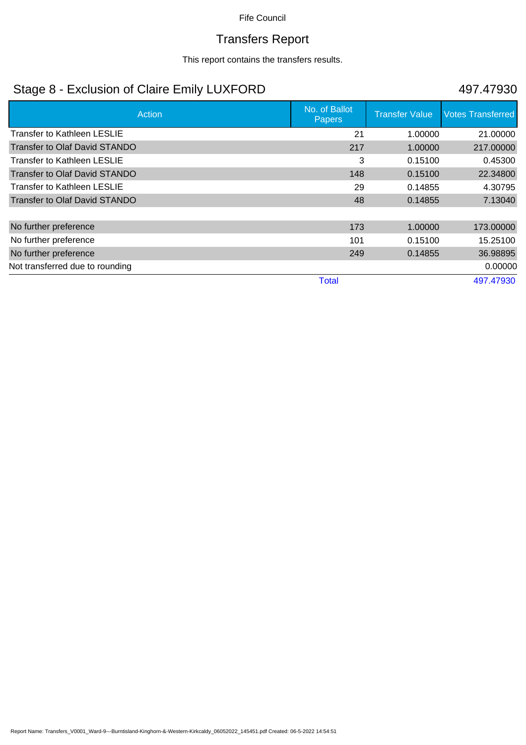### Transfers Report

This report contains the transfers results.

## Stage 8 - Exclusion of Claire Emily LUXFORD 497.47930

| Action                               | No. of Ballot<br><b>Papers</b> | <b>Transfer Value</b> | <b>Votes Transferred</b> |
|--------------------------------------|--------------------------------|-----------------------|--------------------------|
| Transfer to Kathleen LESLIE          | 21                             | 1.00000               | 21.00000                 |
| <b>Transfer to Olaf David STANDO</b> | 217                            | 1.00000               | 217.00000                |
| Transfer to Kathleen LESLIE          | 3                              | 0.15100               | 0.45300                  |
| Transfer to Olaf David STANDO        | 148                            | 0.15100               | 22.34800                 |
| Transfer to Kathleen LESLIE          | 29                             | 0.14855               | 4.30795                  |
| <b>Transfer to Olaf David STANDO</b> | 48                             | 0.14855               | 7.13040                  |
|                                      |                                |                       |                          |
| No further preference                | 173                            | 1.00000               | 173.00000                |
| No further preference                | 101                            | 0.15100               | 15.25100                 |
| No further preference                | 249                            | 0.14855               | 36.98895                 |
| Not transferred due to rounding      |                                |                       | 0.00000                  |
|                                      | <b>Total</b>                   |                       | 497.47930                |